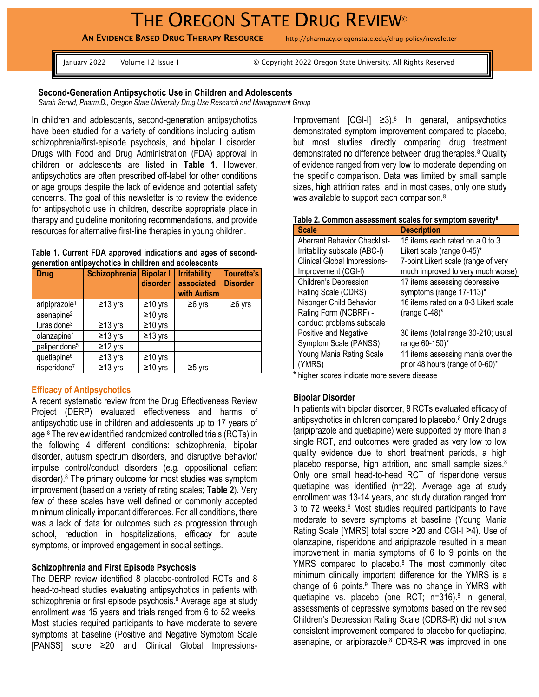# THE OREGON STATE DRUG REVIEW<sup>®</sup>

AN EVIDENCE BASED DRUG THERAPY RESOURCE http://pharmacy.oregonstate.edu/drug-policy/newsletter

January 2022 Volume 12 Issue 1 © Copyright 2022 Oregon State University. All Rights Reserved

## **Second-Generation Antipsychotic Use in Children and Adolescents**

*Sarah Servid, Pharm.D., Oregon State University Drug Use Research and Management Group*

In children and adolescents, second-generation antipsychotics have been studied for a variety of conditions including autism, schizophrenia/first-episode psychosis, and bipolar I disorder. Drugs with Food and Drug Administration (FDA) approval in children or adolescents are listed in **Table 1**. However, antipsychotics are often prescribed off-label for other conditions or age groups despite the lack of evidence and potential safety concerns. The goal of this newsletter is to review the evidence for antipsychotic use in children, describe appropriate place in therapy and guideline monitoring recommendations, and provide resources for alternative first-line therapies in young children.

#### **Table 1. Current FDA approved indications and ages of secondgeneration antipsychotics in children and adolescents**

| <b>Drug</b>               | Schizophrenia   Bipolar I | disorder      | <b>Irritability</b><br>associated<br>with Autism | <b>Tourette's</b><br><b>Disorder</b> |
|---------------------------|---------------------------|---------------|--------------------------------------------------|--------------------------------------|
| aripiprazole <sup>1</sup> | $≥13$ yrs                 | $\geq$ 10 yrs | $≥6$ yrs                                         | $≥6$ yrs                             |
| asenapine <sup>2</sup>    |                           | $\geq$ 10 yrs |                                                  |                                      |
| lurasidone <sup>3</sup>   | $≥13$ yrs                 | $\geq$ 10 yrs |                                                  |                                      |
| olanzapine <sup>4</sup>   | $\geq$ 13 yrs             | $\geq$ 13 yrs |                                                  |                                      |
| paliperidone <sup>5</sup> | $\geq$ 12 yrs             |               |                                                  |                                      |
| quetiapine <sup>6</sup>   | $≥13$ yrs                 | $≥10$ yrs     |                                                  |                                      |
| risperidone <sup>7</sup>  | $≥13$ yrs                 | $\geq$ 10 yrs | ≥5 yrs                                           |                                      |

#### **Efficacy of Antipsychotics**

A recent systematic review from the Drug Effectiveness Review Project (DERP) evaluated effectiveness and harms of antipsychotic use in children and adolescents up to 17 years of ag[e.](#page-3-7) <sup>8</sup> The review identified randomized controlled trials (RCTs) in the following 4 different conditions: schizophrenia, bipolar disorder, autusm spectrum disorders, and disruptive behavior/ impulse control/conduct disorders (e.g. oppositional defiant disorder). [8](#page-3-7) The primary outcome for most studies was symptom improvement (based on a variety of rating scales; **Table 2**). Very few of these scales have well defined or commonly accepted minimum clinically important differences. For all conditions, there was a lack of data for outcomes such as progression through school, reduction in hospitalizations, efficacy for acute symptoms, or improved engagement in social settings.

#### **Schizophrenia and First Episode Psychosis**

The DERP review identified 8 placebo-controlled RCTs and 8 head-to-head studies evaluating antipsychotics in patients with schizophrenia or first episode psychosis.<sup>[8](#page-3-7)</sup> Average age at study enrollment was 15 years and trials ranged from 6 to 52 weeks. Most studies required participants to have moderate to severe symptoms at baseline (Positive and Negative Symptom Scale [PANSS] score ≥20 and Clinical Global Impressions-

Improvement  $[CGI-1] \geq 3$ .<sup>8</sup> In general, antipsychotics demonstrated symptom improvement compared to placebo, but most studies directly comparing drug treatment demonstrated no difference between drug therapies[.](#page-3-7)<sup>8</sup> Quality of evidence ranged from very low to moderate depending on the specific comparison. Data was limited by small sample sizes, high attrition rates, and in most cases, only one study was available to support each comparison[.](#page-3-7)<sup>8</sup>

| <b>Scale</b>                        | <b>Description</b>                   |
|-------------------------------------|--------------------------------------|
| <b>Aberrant Behavior Checklist-</b> | 15 items each rated on a 0 to 3      |
| Irritability subscale (ABC-I)       | Likert scale (range 0-45)*           |
| <b>Clinical Global Impressions-</b> | 7-point Likert scale (range of very  |
| Improvement (CGI-I)                 | much improved to very much worse)    |
| Children's Depression               | 17 items assessing depressive        |
| Rating Scale (CDRS)                 | symptoms (range 17-113)*             |
| Nisonger Child Behavior             | 16 items rated on a 0-3 Likert scale |
| Rating Form (NCBRF) -               | (range 0-48)*                        |
| conduct problems subscale           |                                      |
| Positive and Negative               | 30 items (total range 30-210; usual  |
| Symptom Scale (PANSS)               | range 60-150)*                       |
| Young Mania Rating Scale            | 11 items assessing mania over the    |
| (YMRS)                              | prior 48 hours (range of 0-60)*      |

**Table 2. Common assessment scales for symptom severit[y](#page-3-7)<sup>8</sup>**

\* higher scores indicate more severe disease

### **Bipolar Disorder**

In patients with bipolar disorder, 9 RCTs evaluated efficacy of antipsychotics in children compared to placebo[.](#page-3-7)<sup>8</sup> Only 2 drugs (aripiprazole and quetiapine) were supported by more than a single RCT, and outcomes were graded as very low to low quality evidence due to short treatment periods, a high placebo response, high attrition, and small sample sizes.<sup>[8](#page-3-7)</sup> Only one small head-to-head RCT of risperidone versus quetiapine was identified (n=22). Average age at study enrollment was 13-14 years, and study duration ranged from 3 to 72 weeks[.](#page-3-7)<sup>8</sup> Most studies required participants to have moderate to severe symptoms at baseline (Young Mania Rating Scale [YMRS] total score ≥20 and CGI-I ≥4). Use of olanzapine, risperidone and aripiprazole resulted in a mean improvement in mania symptoms of 6 to 9 points on the YMRS compared to placebo[.](#page-3-7)<sup>8</sup> The most commonly cited minimum clinically important difference for the YMRS is a change of 6 point[s.](#page-3-8)<sup>9</sup> There was no change in YMRS with quetiapine vs. placebo (one RCT; n=316).<sup>[8](#page-3-7)</sup> In general, assessments of depressive symptoms based on the revised Children's Depression Rating Scale (CDRS-R) did not show consistent improvement compared to placebo for quetiapine, asenapine, or aripiprazole[.](#page-3-7)<sup>8</sup> CDRS-R was improved in one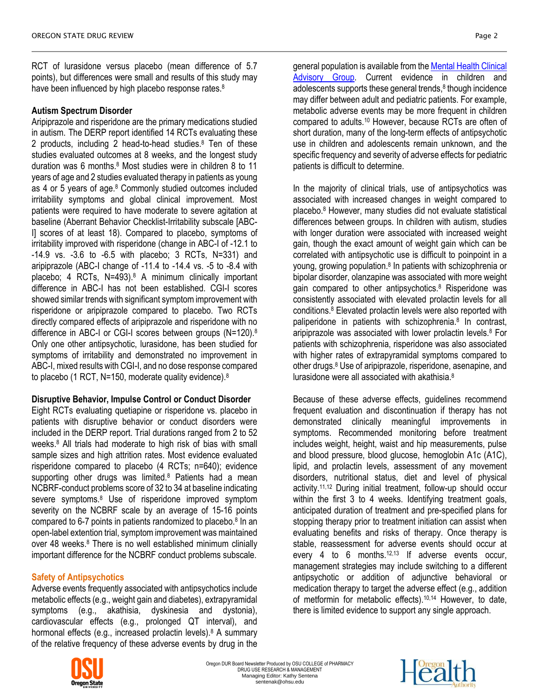RCT of lurasidone versus placebo (mean difference of 5.7 points), but differences were small and results of this study may have been influenced by high placebo response rates[.](#page-3-7)<sup>8</sup>

## **Autism Spectrum Disorder**

Aripiprazole and risperidone are the primary medications studied in autism. The DERP report identified 14 RCTs evaluating these 2 products, including 2 head-to-head studies.[8](#page-3-7) Ten of these studies evaluated outcomes at 8 weeks, and the longest study duration was 6 months[.](#page-3-7)<sup>8</sup> Most studies were in children 8 to 11 years of age and 2 studies evaluated therapy in patients as young as 4 or 5 years of age.<sup>[8](#page-3-7)</sup> Commonly studied outcomes included irritability symptoms and global clinical improvement. Most patients were required to have moderate to severe agitation at baseline (Aberrant Behavior Checklist-Irritability subscale [ABC-I] scores of at least 18). Compared to placebo, symptoms of irritability improved with risperidone (change in ABC-I of -12.1 to -14.9 vs. -3.6 to -6.5 with placebo; 3 RCTs, N=331) and aripiprazole (ABC-I change of -11.4 to -14.4 vs. -5 to -8.4 with placebo; 4 RCTs, N=493)[.](#page-3-7)<sup>8</sup> A minimum clinically important difference in ABC-I has not been established. CGI-I scores showed similar trends with significant symptom improvement with risperidone or aripiprazole compared to placebo. Two RCTs directly compared effects of aripiprazole and risperidone with no difference in ABC-I or CGI-I scores between groups (N=120)[.](#page-3-7)<sup>8</sup> Only one other antipsychotic, lurasidone, has been studied for symptoms of irritability and demonstrated no improvement in ABC-I, mixed results with CGI-I, and no dose response compared to placebo (1 RCT, N=150, moderate quality evidence).<sup>[8](#page-3-7)</sup>

#### **Disruptive Behavior, Impulse Control or Conduct Disorder**

Eight RCTs evaluating quetiapine or risperidone vs. placebo in patients with disruptive behavior or conduct disorders were included in the DERP report. Trial durations ranged from 2 to 52 weeks.[8](#page-3-7) All trials had moderate to high risk of bias with small sample sizes and high attrition rates. Most evidence evaluated risperidone compared to placebo (4 RCTs; n=640); evidence supporting other drugs was limited.<sup>[8](#page-3-7)</sup> Patients had a mean NCBRF-conduct problems score of 32 to 34 at baseline indicating severe symptoms[.](#page-3-7)<sup>8</sup> Use of risperidone improved symptom severity on the NCBRF scale by an average of 15-16 points compared to 6-7 points in patients randomized to placebo. [8](#page-3-7) In an open-label extention trial, symptom improvement was maintained over 48 weeks[.](#page-3-7)<sup>8</sup> There is no well established minimum clinially important difference for the NCBRF conduct problems subscale.

## **Safety of Antipsychotics**

Adverse events frequently associated with antipsychotics include metabolic effects (e.g., weight gain and diabetes), extrapyramidal symptoms (e.g., akathisia, dyskinesia and dystonia), cardiovascular effects (e.g., prolonged QT interval), and hormonal effects (e[.](#page-3-7)g., increased prolactin levels).<sup>8</sup> A summary of the relative frequency of these adverse events by drug in the



general population is available from the **Mental Health Clinical** [Advisory Group.](https://sharedsystems.dhsoha.state.or.us/DHSForms/Served/le7549k.pdf) Current evidence in children and adolescents supports these general trends[,](#page-3-7) 8 though incidence may differ between adult and pediatric patients. For example, metabolic adverse events may be more frequent in children compared to adults.[10](#page-3-9) However, because RCTs are often of short duration, many of the long-term effects of antipsychotic use in children and adolescents remain unknown, and the specific frequency and severity of adverse effects for pediatric patients is difficult to determine.

In the majority of clinical trials, use of antipsychotics was associated with increased changes in weight compared to placebo[.](#page-3-7)<sup>8</sup> However, many studies did not evaluate statistical differences between groups. In children with autism, studies with longer duration were associated with increased weight gain, though the exact amount of weight gain which can be correlated with antipsychotic use is difficult to poinpoint in a young, growing population.<sup>[8](#page-3-7)</sup> In patients with schizophrenia or bipolar disorder, olanzapine was associated with more weight gain compared to other antipsychotics[.](#page-3-7)<sup>8</sup> Risperidone was consistently associated with elevated prolactin levels for all conditions[.](#page-3-7)<sup>8</sup> Elevated prolactin levels were also reported with paliperidone in patients with schizophrenia.<sup>[8](#page-3-7)</sup> In contrast, aripiprazole was associated with lower prolactin levels.[8](#page-3-7) For patients with schizophrenia, risperidone was also associated with higher rates of extrapyramidal symptoms compared to other drugs.[8](#page-3-7) Use of aripiprazole, risperidone, asenapine, and lurasidone were all associated with akathisia.[8](#page-3-7)

Because of these adverse effects, guidelines recommend frequent evaluation and discontinuation if therapy has not demonstrated clinically meaningful improvements in symptoms. Recommended monitoring before treatment includes weight, height, waist and hip measurements, pulse and blood pressure, blood glucose, hemoglobin A1c (A1C), lipid, and prolactin levels, assessment of any movement disorders, nutritional status, diet and level of physical activity.[11,](#page-3-10)[12](#page-3-11) During initial treatment, follow-up should occur within the first 3 to 4 weeks. Identifying treatment goals, anticipated duration of treatment and pre-specified plans for stopping therapy prior to treatment initiation can assist when evaluating benefits and risks of therapy. Once therapy is stable, reassessment for adverse events should occur at every 4 to 6 months.<sup>[12,](#page-3-11)[13](#page-3-12)</sup> If adverse events occur, management strategies may include switching to a different antipsychotic or addition of adjunctive behavioral or medication therapy to target the adverse effect (e.g., addition of metformin for metabolic effects). [10,](#page-3-9)[14](#page-3-13) However, to date, there is limited evidence to support any single approach.



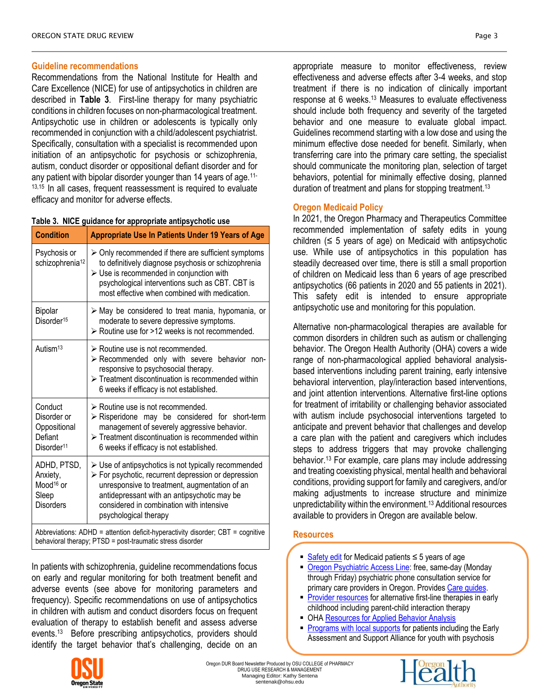#### **Guideline recommendations**

Recommendations from the National Institute for Health and Care Excellence (NICE) for use of antipsychotics in children are described in **Table 3**. First-line therapy for many psychiatric conditions in children focuses on non-pharmacological treatment. Antipsychotic use in children or adolescents is typically only recommended in conjunction with a child/adolescent psychiatrist. Specifically, consultation with a specialist is recommended upon initiation of an antipsychotic for psychosis or schizophrenia, autism, conduct disorder or oppositional defiant disorder and for any patient with bipolar disorder younger than 14 years of age.<sup>[11-](#page-3-10)</sup> <sup>[13,](#page-3-10)[15](#page-3-14)</sup> In all cases, frequent reassessment is required to evaluate efficacy and monitor for adverse effects.

#### **Table 3. NICE guidance for appropriate antipsychotic use**

| <b>Condition</b>                                                                    | <b>Appropriate Use In Patients Under 19 Years of Age</b>                                                                                                                                                                                                                                                       |  |
|-------------------------------------------------------------------------------------|----------------------------------------------------------------------------------------------------------------------------------------------------------------------------------------------------------------------------------------------------------------------------------------------------------------|--|
| Psychosis or<br>schizophrenia <sup>12</sup>                                         | $\triangleright$ Only recommended if there are sufficient symptoms<br>to definitively diagnose psychosis or schizophrenia<br>$\triangleright$ Use is recommended in conjunction with<br>psychological interventions such as CBT. CBT is<br>most effective when combined with medication.                       |  |
| Bipolar<br>Disorder <sup>15</sup>                                                   | $\triangleright$ May be considered to treat mania, hypomania, or<br>moderate to severe depressive symptoms.<br>> Routine use for >12 weeks is not recommended.                                                                                                                                                 |  |
| Autism <sup>13</sup>                                                                | $\triangleright$ Routine use is not recommended.<br>> Recommended only with severe behavior non-<br>responsive to psychosocial therapy.<br>$\triangleright$ Treatment discontinuation is recommended within<br>6 weeks if efficacy is not established.                                                         |  |
| Conduct<br>Disorder or<br>Oppositional<br>Defiant<br>Disorder <sup>11</sup>         | $\triangleright$ Routine use is not recommended.<br>$\triangleright$ Risperidone may be considered for short-term<br>management of severely aggressive behavior.<br>$\triangleright$ Treatment discontinuation is recommended within<br>6 weeks if efficacy is not established.                                |  |
| ADHD, PTSD,<br>Anxiety,<br>Mood <sup>16</sup> or<br>Sleep<br><b>Disorders</b>       | $\triangleright$ Use of antipsychotics is not typically recommended<br>$\triangleright$ For psychotic, recurrent depression or depression<br>unresponsive to treatment, augmentation of an<br>antidepressant with an antipsychotic may be<br>considered in combination with intensive<br>psychological therapy |  |
| Abbreviations: $ADHD =$ attention deficit-hyperactivity disorder: $CHT =$ cognitive |                                                                                                                                                                                                                                                                                                                |  |

Abbreviations: ADHD = attention deficit-hyperactivity disorder; CBT = cognitive behavioral therapy; PTSD = post-traumatic stress disorder

In patients with schizophrenia, guideline recommendations focus on early and regular monitoring for both treatment benefit and adverse events (see above for monitoring parameters and frequency). Specific recommendations on use of antipsychotics in children with autism and conduct disorders focus on frequent evaluation of therapy to establish benefit and assess adverse events.[13](#page-3-12) Before prescribing antipsychotics, providers should identify the target behavior that's challenging, decide on an



## **Oregon Medicaid Policy**

In 2021, the Oregon Pharmacy and Therapeutics Committee recommended implementation of safety edits in young children  $(≤ 5$  years of age) on Medicaid with antipsychotic use. While use of antipsychotics in this population has steadily decreased over time, there is still a small proportion of children on Medicaid less than 6 years of age prescribed antipsychotics (66 patients in 2020 and 55 patients in 2021). This safety edit is intended to ensure appropriate antipsychotic use and monitoring for this population.

Alternative non-pharmacological therapies are available for common disorders in children such as autism or challenging behavior. The Oregon Health Authority (OHA) covers a wide range of non-pharmacological applied behavioral analysisbased interventions including parent training, early intensive behavioral intervention, play/interaction based interventions, and joint attention interventions. Alternative first-line options for treatment of irritability or challenging behavior associated with autism include psychosocial interventions targeted to anticipate and prevent behavior that challenges and develop a care plan with the patient and caregivers which includes steps to address triggers that may provoke challenging behavior.[13](#page-3-12) For example, care plans may include addressing and treating coexisting physical, mental health and behavioral conditions, providing support for family and caregivers, and/or making adjustments to increase structure and minimize unpredictability within the environment.[13](#page-3-12) Additional resources available to providers in Oregon are available below.

## **Resources**

- [Safety edit](https://www.orpdl.org/durm/PA_Docs/AntipsychoticsKids2.pdf) for Medicaid patients  $\leq$  5 years of age
- [Oregon Psychiatric Access Line:](https://www.ohsu.edu/school-of-medicine/child-and-adolescent-psychiatry/oregon-psychiatric-access-line) free, same-day (Monday through Friday) psychiatric phone consultation service for primary care providers in Oregon. Provide[s Care guides.](https://www.ohsu.edu/school-of-medicine/child-and-adolescent-psychiatry/mental-health-care-guides)
- [Provider resources](https://www.oregon.gov/oha/HSD/BH-Child-Family/Pages/Early-Childhood.aspx) for alternative first-line therapies in early childhood including parent-child interaction therapy
- OH[A Resources for Applied Behavior Analysis](https://www.oregon.gov/oha/HSD/OHP/Pages/Policy-BHS.aspx)
- [Programs with local supports](https://www.oregon.gov/oha/HSD/BH-Child-Family/Pages/Youth.aspx) for patients including the Early Assessment and Support Alliance for youth with psychosis